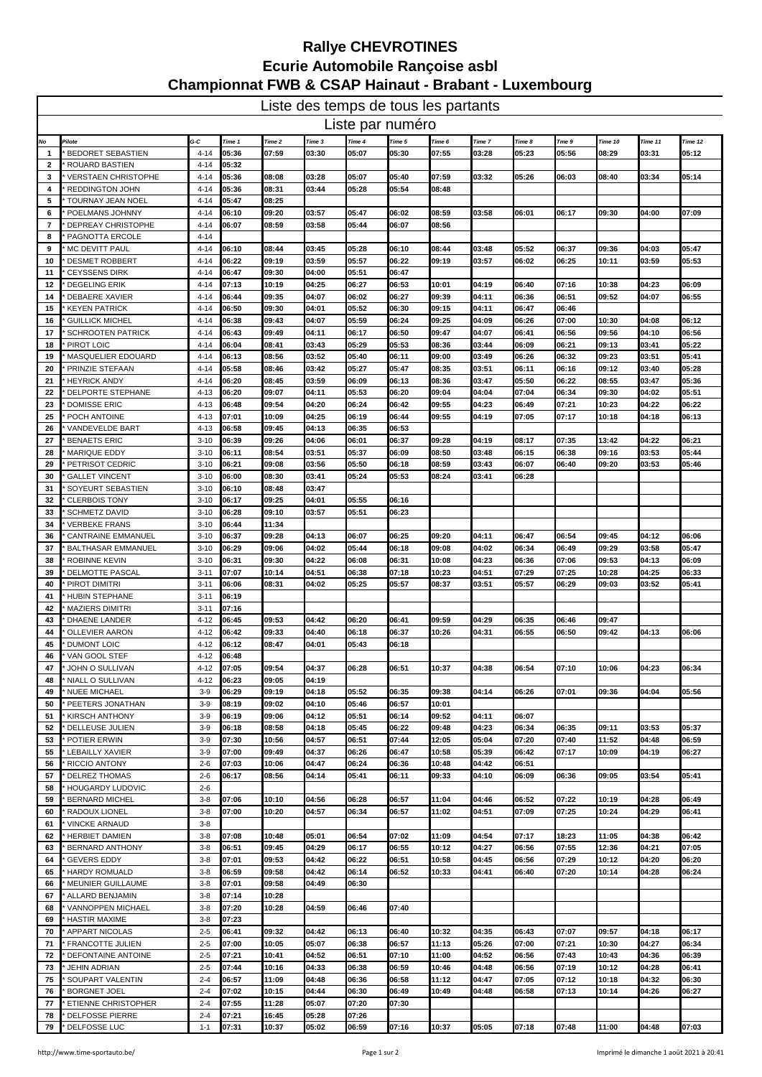| Liste des temps de tous les partants |                                                  |                      |                |                |                |                |                |                |        |        |       |         |         |                |
|--------------------------------------|--------------------------------------------------|----------------------|----------------|----------------|----------------|----------------|----------------|----------------|--------|--------|-------|---------|---------|----------------|
| Liste par numéro                     |                                                  |                      |                |                |                |                |                |                |        |        |       |         |         |                |
| No                                   | <b>Pilote</b>                                    | G-C                  | Time 1         | Time 2         | Time 3         | Time 4         | Time 5         | Time 6         | Time 7 | Time 8 | Tme 9 | Time 10 | Time 11 | Time 12        |
| -1                                   | <b>BEDORET SEBASTIEN</b>                         | $4 - 14$             | 05:36          | 07:59          | 03:30          | 05:07          | 05:30          | 07:55          | 03:28  | 05:23  | 05:56 | 08:29   | 03:31   | 05:12          |
| 2                                    | <b>ROUARD BASTIEN</b>                            | 4-14                 | 05:32          |                |                |                |                |                |        |        |       |         |         |                |
| 3                                    | <b>VERSTAEN CHRISTOPHE</b>                       | $4 - 14$             | 05:36          | 08:08          | 03:28          | 05:07          | 05:40          | 07:59          | 03:32  | 05:26  | 06:03 | 08:40   | 03:34   | 05:14          |
| 4                                    | <b>REDDINGTON JOHN</b>                           | $4 - 14$             | 05:36          | 08:31          | 03:44          | 05:28          | 05:54          | 08:48          |        |        |       |         |         |                |
| 5                                    | <b>TOURNAY JEAN NOEL</b>                         | $4 - 14$             | 05:47          | 08:25          |                |                |                |                |        |        |       |         |         |                |
| 6                                    | POELMANS JOHNNY                                  | 4-14                 | 06:10          | 09:20          | 03:57          | 05:47          | 06:02          | 08:59          | 03:58  | 06:01  | 06:17 | 09:30   | 04:00   | 07:09          |
| 7                                    | DEPREAY CHRISTOPHE                               | $4 - 14$             | 06:07          | 08:59          | 03:58          | 05:44          | 06:07          | 08:56          |        |        |       |         |         |                |
| 8                                    | PAGNOTTA ERCOLE                                  | $4 - 14$             |                |                |                |                |                |                |        |        |       |         |         |                |
| 9<br>10                              | MC DEVITT PAUL                                   | $4 - 14$             | 06:10<br>06:22 | 08:44<br>09:19 | 03:45<br>03:59 | 05:28<br>05:57 | 06:10<br>06:22 | 08:44<br>09:19 | 03:48  | 05:52  | 06:37 | 09:36   | 04:03   | 05:47<br>05:53 |
| 11                                   | <b>DESMET ROBBERT</b><br><b>CEYSSENS DIRK</b>    | $4 - 14$<br>$4 - 14$ | 06:47          | 09:30          | 04:00          | 05:51          | 06:47          |                | 03:57  | 06:02  | 06:25 | 10:11   | 03:59   |                |
| 12                                   | <b>DEGELING ERIK</b>                             | $4 - 14$             | 07:13          | 10:19          | 04:25          | 06:27          | 06:53          | 10:01          | 04:19  | 06:40  | 07:16 | 10:38   | 04:23   | 06:09          |
| 14                                   | <b>DEBAERE XAVIER</b>                            | 4-14                 | 06:44          | 09:35          | 04:07          | 06:02          | 06:27          | 09:39          | 04:11  | 06:36  | 06:51 | 09:52   | 04:07   | 06:55          |
| 15                                   | <b>KEYEN PATRICK</b>                             | $4 - 14$             | 06:50          | 09:30          | 04:01          | 05:52          | 06:30          | 09:15          | 04:11  | 06:47  | 06:46 |         |         |                |
| 16                                   | <b>GUILLICK MICHEL</b>                           | $4 - 14$             | 06:38          | 09:43          | 04:07          | 05:59          | 06:24          | 09:25          | 04:09  | 06:26  | 07:00 | 10:30   | 04:08   | 06:12          |
| 17                                   | <b>SCHROOTEN PATRICK</b>                         | $4 - 14$             | 06:43          | 09:49          | 04:11          | 06:17          | 06:50          | 09:47          | 04:07  | 06:41  | 06:56 | 09:56   | 04:10   | 06:56          |
| 18                                   | PIROT LOIC                                       | 4-14                 | 06:04          | 08:41          | 03:43          | 05:29          | 05:53          | 08:36          | 03:44  | 06:09  | 06:21 | 09:13   | 03:41   | 05:22          |
| 19                                   | MASQUELIER EDOUARD                               | $4 - 14$             | 06:13          | 08:56          | 03:52          | 05:40          | 06:11          | 09:00          | 03:49  | 06:26  | 06:32 | 09:23   | 03:51   | 05:41          |
| 20                                   | PRINZIE STEFAAN                                  | $4 - 14$             | 05:58          | 08:46          | 03:42          | 05:27          | 05:47          | 08:35          | 03:51  | 06:11  | 06:16 | 09:12   | 03:40   | 05:28          |
| 21                                   | <b>HEYRICK ANDY</b>                              | $4 - 14$             | 06:20          | 08:45          | 03:59          | 06:09          | 06:13          | 08:36          | 03:47  | 05:50  | 06:22 | 08:55   | 03:47   | 05:36          |
| 22                                   | DELPORTE STEPHANE                                | $4 - 13$             | 06:20          | 09:07          | 04:11          | 05:53          | 06:20          | 09:04          | 04:04  | 07:04  | 06:34 | 09:30   | 04:02   | 05:51          |
| 23                                   | <b>DOMISSE ERIC</b>                              | $4 - 13$             | 06:48          | 09:54          | 04:20          | 06:24          | 06:42          | 09:55          | 04:23  | 06:49  | 07:21 | 10:23   | 04:22   | 06:22          |
| 25                                   | POCH ANTOINE                                     | $4 - 13$             | 07:01          | 10:09          | 04:25          | 06:19          | 06:44          | 09:55          | 04:19  | 07:05  | 07:17 | 10:18   | 04:18   | 06:13          |
| 26                                   | VANDEVELDE BART                                  | $4 - 13$             | 06:58          | 09:45          | 04:13          | 06:35          | 06:53          |                |        |        |       |         |         |                |
| 27                                   | <b>BENAETS ERIC</b>                              | $3 - 10$             | 06:39          | 09:26          | 04:06          | 06:01          | 06:37          | 09:28          | 04:19  | 08:17  | 07:35 | 13:42   | 04:22   | 06:21          |
| 28                                   | <b>MARIQUE EDDY</b>                              | $3 - 10$             | 06:11          | 08:54          | 03:51          | 05:37          | 06:09          | 08:50          | 03:48  | 06:15  | 06:38 | 09:16   | 03:53   | 05:44          |
| 29                                   | PETRISOT CEDRIC                                  | $3 - 10$             | 06:21          | 09:08          | 03:56          | 05:50          | 06:18          | 08:59          | 03:43  | 06:07  | 06:40 | 09:20   | 03:53   | 05:46          |
| -30                                  | <b>GALLET VINCENT</b>                            | $3 - 10$             | 06:00          | 08:30          | 03:41          | 05:24          | 05:53          | 08:24          | 03:41  | 06:28  |       |         |         |                |
| 31                                   | SOYEURT SEBASTIEN                                | $3 - 10$             | 06:10          | 08:48          | 03:47          |                |                |                |        |        |       |         |         |                |
| 32                                   | <b>CLERBOIS TONY</b>                             | $3 - 10$             | 06:17<br>06:28 | 09:25<br>09:10 | 04:01<br>03:57 | 05:55<br>05:51 | 06:16<br>06:23 |                |        |        |       |         |         |                |
| 33<br>34                             | <b>SCHMETZ DAVID</b><br><b>VERBEKE FRANS</b>     | $3 - 10$<br>$3 - 10$ | 06:44          | 11:34          |                |                |                |                |        |        |       |         |         |                |
| 36                                   | <b>CANTRAINE EMMANUEL</b>                        | $3 - 10$             | 06:37          | 09:28          | 04:13          | 06:07          | 06:25          | 09:20          | 04:11  | 06:47  | 06:54 | 09:45   | 04:12   | 06:06          |
| 37                                   | <b>BALTHASAR EMMANUEL</b>                        | $3 - 10$             | 06:29          | 09:06          | 04:02          | 05:44          | 06:18          | 09:08          | 04:02  | 06:34  | 06:49 | 09:29   | 03:58   | 05:47          |
| -38                                  | ROBINNE KEVIN                                    | $3 - 10$             | 06:31          | 09:30          | 04:22          | 06:08          | 06:31          | 10:08          | 04:23  | 06:36  | 07:06 | 09:53   | 04:13   | 06:09          |
| 39                                   | DELMOTTE PASCAL                                  | $3 - 11$             | 07:07          | 10:14          | 04:51          | 06:38          | 07:18          | 10:23          | 04:51  | 07:29  | 07:25 | 10:28   | 04:25   | 06:33          |
| 40                                   | PIROT DIMITRI                                    | $3 - 11$             | 06:06          | 08:31          | 04:02          | 05:25          | 05:57          | 08:37          | 03:51  | 05:57  | 06:29 | 09:03   | 03:52   | 05:41          |
| -41                                  | HUBIN STEPHANE                                   | $3 - 11$             | 06:19          |                |                |                |                |                |        |        |       |         |         |                |
| 42                                   | <b>MAZIERS DIMITRI</b>                           | $3 - 11$             | 07:16          |                |                |                |                |                |        |        |       |         |         |                |
| 43                                   | DHAENE LANDER                                    | $4 - 12$             | 06:45          | 09:53          | 04:42          | 06:20          | 06:41          | 09:59          | 04:29  | 06:35  | 06:46 | 09:47   |         |                |
| 44                                   | <b>OLLEVIER AARON</b>                            | $4 - 12$             | 06:42          | 09:33          | 04:40          | 06:18          | 06:37          | 10:26          | 04:31  | 06:55  | 06:50 | 09:42   | 04:13   | 06:06          |
| 45                                   | <b>DUMONT LOIC</b>                               | $4 - 12$             | 06:12          | 08:47          | 04:01          | 05:43          | 06:18          |                |        |        |       |         |         |                |
| 46                                   | VAN GOOL STEF                                    | $4 - 12$             | 06:48          |                |                |                |                |                |        |        |       |         |         |                |
| 47                                   | JOHN O SULLIVAN                                  | $4 - 12$             | 07:05          | 09:54          | 04:37          | 06:28          | 06:51          | 10:37          | 04:38  | 06:54  | 07:10 | 10:06   | 04:23   | 06:34          |
| 48                                   | NIALL O SULLIVAN                                 | $4 - 12$             | 06:23          | 09:05          | 04:19          |                |                |                |        |        |       |         |         |                |
| 49                                   | <b>NUEE MICHAEL</b>                              | $3-9$                | 06:29          | 09:19          | 04:18          | 05:52          | 06:35          | 09:38          | 04:14  | 06:26  | 07:01 | 09:36   | 04:04   | 05:56          |
| 50                                   | PEETERS JONATHAN                                 | $3-9$                | 08:19          | 09:02          | 04:10          | 05:46          | 06:57          | 10:01          |        |        |       |         |         |                |
| 51                                   | <b>KIRSCH ANTHONY</b>                            | $3-9$                | 06:19          | 09:06          | 04:12          | 05:51          | 06:14          | 09:52          | 04:11  | 06:07  |       |         |         |                |
| 52                                   | DELLEUSE JULIEN                                  | $3-9$                | 06:18          | 08:58          | 04:18          | 05:45          | 06:22          | 09:48          | 04:23  | 06:34  | 06:35 | 09:11   | 03:53   | 05:37          |
| 53                                   | POTIER ERWIN                                     | $3-9$                | 07:30          | 10:56          | 04:57          | 06:51          | 07:44          | 12:05          | 05:04  | 07:20  | 07:40 | 11:52   | 04:48   | 06:59          |
| 55                                   | <b>LEBAILLY XAVIER</b>                           | $3-9$                | 07:00          | 09:49          | 04:37          | 06:26          | 06:47          | 10:58          | 05:39  | 06:42  | 07:17 | 10:09   | 04:19   | 06:27          |
| 56                                   | <b>RICCIO ANTONY</b>                             | $2 - 6$              | 07:03          | 10:06          | 04:47          | 06:24          | 06:36          | 10:48          | 04:42  | 06:51  |       |         |         |                |
| 57                                   | <b>DELREZ THOMAS</b>                             | $2 - 6$              | 06:17          | 08:56          | 04:14          | 05:41          | 06:11          | 09:33          | 04:10  | 06:09  | 06:36 | 09:05   | 03:54   | 05:41          |
| 58<br>59                             | <b>HOUGARDY LUDOVIC</b><br><b>BERNARD MICHEL</b> | $2 - 6$<br>$3 - 8$   | 07:06          | 10:10          | 04:56          | 06:28          | 06:57          | 11:04          | 04:46  | 06:52  | 07:22 | 10:19   | 04:28   | 06:49          |
| 60                                   | RADOUX LIONEL                                    | $3 - 8$              | 07:00          | 10:20          | 04:57          | 06:34          | 06:57          | 11:02          | 04:51  | 07:09  | 07:25 | 10:24   | 04:29   | 06:41          |
| 61                                   | <b>VINCKE ARNAUD</b>                             | $3 - 8$              |                |                |                |                |                |                |        |        |       |         |         |                |
| 62                                   | <b>HERBIET DAMIEN</b>                            | $3 - 8$              | 07:08          | 10:48          | 05:01          | 06:54          | 07:02          | 11:09          | 04:54  | 07:17  | 18:23 | 11:05   | 04:38   | 06:42          |
| 63                                   | <b>BERNARD ANTHONY</b>                           | $3 - 8$              | 06.51          | 09:45          | 04:29          | 06:17          | 06:55          | 10:12          | 04:27  | 06:56  | 07:55 | 12:36   | 04:21   | 07:05          |
| 64                                   | <b>GEVERS EDDY</b>                               | $3 - 8$              | 07:01          | 09:53          | 04:42          | 06:22          | 06:51          | 10:58          | 04:45  | 06:56  | 07:29 | 10:12   | 04:20   | 06:20          |
| 65                                   | <b>HARDY ROMUALD</b>                             | $3 - 8$              | 06:59          | 09:58          | 04:42          | 06:14          | 06:52          | 10:33          | 04:41  | 06:40  | 07:20 | 10:14   | 04:28   | 06:24          |
| 66                                   | <b>MEUNIER GUILLAUME</b>                         | $3 - 8$              | 07:01          | 09:58          | 04:49          | 06:30          |                |                |        |        |       |         |         |                |
| 67                                   | ALLARD BENJAMIN                                  | $3-8$                | 07:14          | 10:28          |                |                |                |                |        |        |       |         |         |                |
| 68                                   | <b>VANNOPPEN MICHAEL</b>                         | $3 - 8$              | 07:20          | 10:28          | 04:59          | 06:46          | 07:40          |                |        |        |       |         |         |                |
| 69                                   | <b>HASTIR MAXIME</b>                             | $3 - 8$              | 07:23          |                |                |                |                |                |        |        |       |         |         |                |
| 70                                   | APPART NICOLAS                                   | $2 - 5$              | 06:41          | 09:32          | 04:42          | 06:13          | 06:40          | 10:32          | 04:35  | 06:43  | 07:07 | 09:57   | 04:18   | 06:17          |
| 71                                   | FRANCOTTE JULIEN                                 | $2 - 5$              | 07:00          | 10:05          | 05:07          | 06:38          | 06:57          | 11:13          | 05:26  | 07:00  | 07:21 | 10:30   | 04:27   | 06:34          |
| 72                                   | DEFONTAINE ANTOINE                               | $2 - 5$              | 07:21          | 10:41          | 04:52          | 06:51          | 07:10          | 11:00          | 04:52  | 06:56  | 07:43 | 10:43   | 04:36   | 06:39          |
| 73                                   | <b>JEHIN ADRIAN</b>                              | $2 - 5$              | 07:44          | 10:16          | 04:33          | 06:38          | 06:59          | 10:46          | 04:48  | 06:56  | 07:19 | 10:12   | 04:28   | 06:41          |
| 75                                   | SOUPART VALENTIN                                 | $2 - 4$              | 06:57          | 11:09          | 04:48          | 06:36          | 06:58          | 11:12          | 04:47  | 07:05  | 07:12 | 10:18   | 04:32   | 06:30          |
| 76                                   | <b>BORGNET JOEL</b>                              | $2 - 4$              | 07:02          | 10:15          | 04:44          | 06:30          | 06:49          | 10:49          | 04:48  | 06:58  | 07:13 | 10:14   | 04:26   | 06:27          |
| 77                                   | ETIENNE CHRISTOPHER                              | $2 - 4$              | 07:55          | 11:28          | 05:07          | 07:20          | 07:30          |                |        |        |       |         |         |                |
| 78                                   | <b>DELFOSSE PIERRE</b>                           | $2 - 4$              | 07:21          | 16:45          | 05:28          | 07:26          |                |                |        |        |       |         |         |                |
| 79                                   | DELFOSSE LUC                                     | $1 - 1$              | 07:31          | 10:37          | 05:02          | 06:59          | 07:16          | 10:37          | 05:05  | 07:18  | 07:48 | 11:00   | 04:48   | 07:03          |

## **Rallye CHEVROTINES Ecurie Automobile Rançoise asbl Championnat FWB & CSAP Hainaut - Brabant - Luxembourg**